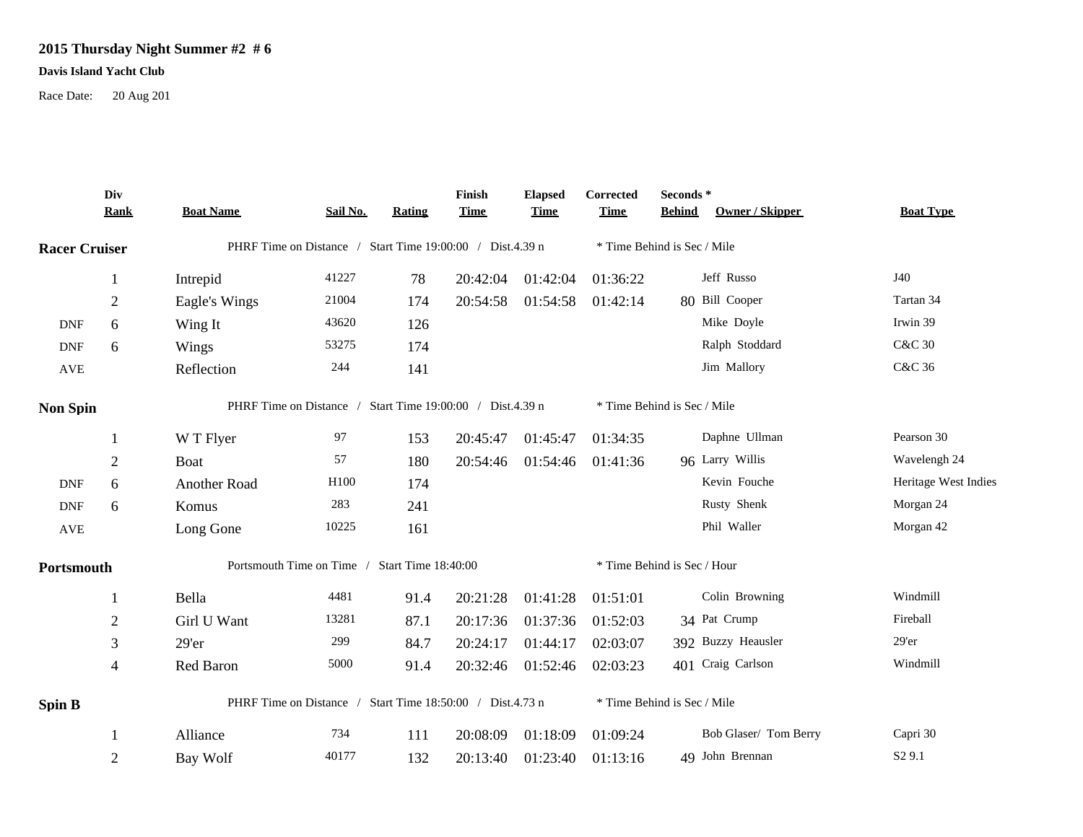## **2015 Thursday Night Summer #2 # 6**

## **Davis Island Yacht Club**

Race Date: 20 Aug 201

|                      | Div<br><b>Rank</b>                                        | <b>Boat Name</b>                                          | Sail No. | Rating | Finish<br><b>Time</b>       | <b>Elapsed</b><br><b>Time</b> | Corrected<br><b>Time</b>    | Seconds *<br><b>Behind</b> | Owner / Skipper       | <b>Boat Type</b>     |
|----------------------|-----------------------------------------------------------|-----------------------------------------------------------|----------|--------|-----------------------------|-------------------------------|-----------------------------|----------------------------|-----------------------|----------------------|
| <b>Racer Cruiser</b> |                                                           | PHRF Time on Distance / Start Time 19:00:00 / Dist.4.39 n |          |        |                             |                               | * Time Behind is Sec / Mile |                            |                       |                      |
|                      | 1                                                         | Intrepid                                                  | 41227    | 78     | 20:42:04                    | 01:42:04                      | 01:36:22                    |                            | Jeff Russo            | J40                  |
|                      | $\overline{2}$                                            | Eagle's Wings                                             | 21004    | 174    | 20:54:58                    | 01:54:58                      | 01:42:14                    |                            | 80 Bill Cooper        | Tartan 34            |
| <b>DNF</b>           | 6                                                         | Wing It                                                   | 43620    | 126    |                             |                               |                             |                            | Mike Doyle            | Irwin 39             |
| <b>DNF</b>           | 6                                                         | Wings                                                     | 53275    | 174    |                             |                               |                             |                            | Ralph Stoddard        | <b>C&amp;C 30</b>    |
| <b>AVE</b>           |                                                           | Reflection                                                | 244      | 141    |                             |                               |                             |                            | Jim Mallory           | C&C 36               |
| <b>Non Spin</b>      |                                                           | PHRF Time on Distance / Start Time 19:00:00 / Dist.4.39 n |          |        |                             |                               | * Time Behind is Sec / Mile |                            |                       |                      |
|                      |                                                           | W T Flyer                                                 | 97       | 153    | 20:45:47                    | 01:45:47                      | 01:34:35                    |                            | Daphne Ullman         | Pearson 30           |
|                      | $\overline{2}$                                            | Boat                                                      | 57       | 180    | 20:54:46                    | 01:54:46                      | 01:41:36                    |                            | 96 Larry Willis       | Wavelengh 24         |
| <b>DNF</b>           | 6                                                         | Another Road                                              | H100     | 174    |                             |                               |                             |                            | Kevin Fouche          | Heritage West Indies |
| <b>DNF</b>           | 6                                                         | Komus                                                     | 283      | 241    |                             |                               |                             |                            | Rusty Shenk           | Morgan 24            |
| AVE                  |                                                           | Long Gone                                                 | 10225    | 161    |                             |                               |                             |                            | Phil Waller           | Morgan 42            |
| Portsmouth           |                                                           | Portsmouth Time on Time / Start Time 18:40:00             |          |        |                             |                               | * Time Behind is Sec / Hour |                            |                       |                      |
|                      |                                                           | Bella                                                     | 4481     | 91.4   | 20:21:28                    | 01:41:28                      | 01:51:01                    |                            | Colin Browning        | Windmill             |
|                      | $\overline{2}$                                            | Girl U Want                                               | 13281    | 87.1   | 20:17:36                    | 01:37:36                      | 01:52:03                    |                            | 34 Pat Crump          | Fireball             |
|                      | 3                                                         | $29'$ er                                                  | 299      | 84.7   | 20:24:17                    | 01:44:17                      | 02:03:07                    |                            | 392 Buzzy Heausler    | 29'er                |
|                      | 4                                                         | Red Baron                                                 | 5000     | 91.4   | 20:32:46                    | 01:52:46                      | 02:03:23                    |                            | 401 Craig Carlson     | Windmill             |
| <b>Spin B</b>        | PHRF Time on Distance / Start Time 18:50:00 / Dist.4.73 n |                                                           |          |        | * Time Behind is Sec / Mile |                               |                             |                            |                       |                      |
|                      |                                                           | Alliance                                                  | 734      | 111    | 20:08:09                    | 01:18:09                      | 01:09:24                    |                            | Bob Glaser/ Tom Berry | Capri 30             |
|                      | $\overline{2}$                                            | Bay Wolf                                                  | 40177    | 132    | 20:13:40                    | 01:23:40                      | 01:13:16                    |                            | 49 John Brennan       | S <sub>2</sub> 9.1   |